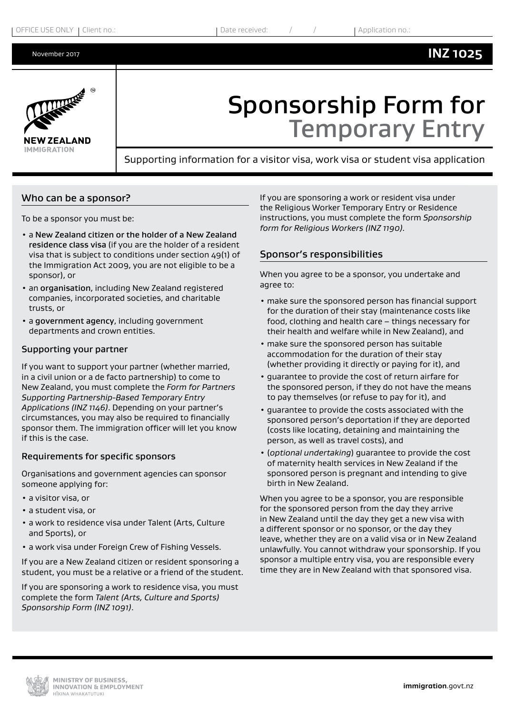# **INZ 1025**



# Sponsorship Form for Temporary Entry

Supporting information for a visitor visa, work visa or student visa application

### Who can be a sponsor?

To be a sponsor you must be:

- a New Zealand citizen or the holder of a New Zealand residence class visa (if you are the holder of a resident visa that is subject to conditions under section 49(1) of the Immigration Act 2009, you are not eligible to be a sponsor), or
- an organisation, including New Zealand registered companies, incorporated societies, and charitable trusts, or
- a government agency, including government departments and crown entities.

### Supporting your partner

If you want to support your partner (whether married, in a civil union or a de facto partnership) to come to New Zealand, you must complete the *Form for Partners Supporting Partnership-Based Temporary Entry Applications (INZ 1146)*. Depending on your partner's circumstances, you may also be required to financially sponsor them. The immigration officer will let you know if this is the case.

### Requirements for specific sponsors

Organisations and government agencies can sponsor someone applying for:

- a visitor visa, or
- a student visa, or
- a work to residence visa under Talent (Arts, Culture and Sports), or
- a work visa under Foreign Crew of Fishing Vessels.

If you are a New Zealand citizen or resident sponsoring a student, you must be a relative or a friend of the student.

If you are sponsoring a work to residence visa, you must complete the form *Talent (Arts, Culture and Sports) Sponsorship Form (INZ 1091)*.

If you are sponsoring a work or resident visa under the Religious Worker Temporary Entry or Residence instructions, you must complete the form *Sponsorship form for Religious Workers (INZ 1190).*

## Sponsor's responsibilities

When you agree to be a sponsor, you undertake and agree to:

- make sure the sponsored person has financial support for the duration of their stay (maintenance costs like food, clothing and health care – things necessary for their health and welfare while in New Zealand), and
- make sure the sponsored person has suitable accommodation for the duration of their stay (whether providing it directly or paying for it), and
- guarantee to provide the cost of return airfare for the sponsored person, if they do not have the means to pay themselves (or refuse to pay for it), and
- guarantee to provide the costs associated with the sponsored person's deportation if they are deported (costs like locating, detaining and maintaining the person, as well as travel costs), and
- (*optional undertaking*) guarantee to provide the cost of maternity health services in New Zealand if the sponsored person is pregnant and intending to give birth in New Zealand.

When you agree to be a sponsor, you are responsible for the sponsored person from the day they arrive in New Zealand until the day they get a new visa with a different sponsor or no sponsor, or the day they leave, whether they are on a valid visa or in New Zealand unlawfully. You cannot withdraw your sponsorship. If you sponsor a multiple entry visa, you are responsible every time they are in New Zealand with that sponsored visa.

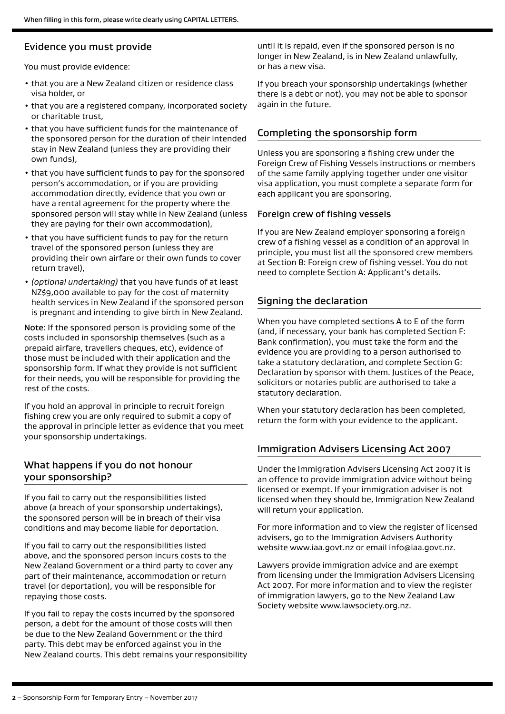# Evidence you must provide

You must provide evidence:

- that you are a New Zealand citizen or residence class visa holder, or
- that you are a registered company, incorporated society or charitable trust,
- that you have sufficient funds for the maintenance of the sponsored person for the duration of their intended stay in New Zealand (unless they are providing their own funds),
- that you have sufficient funds to pay for the sponsored person's accommodation, or if you are providing accommodation directly, evidence that you own or have a rental agreement for the property where the sponsored person will stay while in New Zealand (unless they are paying for their own accommodation),
- that you have sufficient funds to pay for the return travel of the sponsored person (unless they are providing their own airfare or their own funds to cover return travel),
- *(optional undertaking)* that you have funds of at least NZ\$9,000 available to pay for the cost of maternity health services in New Zealand if the sponsored person is pregnant and intending to give birth in New Zealand.

Note: If the sponsored person is providing some of the costs included in sponsorship themselves (such as a prepaid airfare, travellers cheques, etc), evidence of those must be included with their application and the sponsorship form. If what they provide is not sufficient for their needs, you will be responsible for providing the rest of the costs.

If you hold an approval in principle to recruit foreign fishing crew you are only required to submit a copy of the approval in principle letter as evidence that you meet your sponsorship undertakings.

# What happens if you do not honour your sponsorship?

If you fail to carry out the responsibilities listed above (a breach of your sponsorship undertakings), the sponsored person will be in breach of their visa conditions and may become liable for deportation.

If you fail to carry out the responsibilities listed above, and the sponsored person incurs costs to the New Zealand Government or a third party to cover any part of their maintenance, accommodation or return travel (or deportation), you will be responsible for repaying those costs.

If you fail to repay the costs incurred by the sponsored person, a debt for the amount of those costs will then be due to the New Zealand Government or the third party. This debt may be enforced against you in the New Zealand courts. This debt remains your responsibility until it is repaid, even if the sponsored person is no longer in New Zealand, is in New Zealand unlawfully, or has a new visa.

If you breach your sponsorship undertakings (whether there is a debt or not), you may not be able to sponsor again in the future.

# Completing the sponsorship form

Unless you are sponsoring a fishing crew under the Foreign Crew of Fishing Vessels instructions or members of the same family applying together under one visitor visa application, you must complete a separate form for each applicant you are sponsoring.

## Foreign crew of fishing vessels

If you are New Zealand employer sponsoring a foreign crew of a fishing vessel as a condition of an approval in principle, you must list all the sponsored crew members at Section B: Foreign crew of fishing vessel. You do not need to complete Section A: Applicant's details.

## Signing the declaration

When you have completed sections A to E of the form (and, if necessary, your bank has completed Section F: Bank confirmation), you must take the form and the evidence you are providing to a person authorised to take a statutory declaration, and complete Section G: Declaration by sponsor with them. Justices of the Peace, solicitors or notaries public are authorised to take a statutory declaration.

When your statutory declaration has been completed, return the form with your evidence to the applicant.

## Immigration Advisers Licensing Act 2007

Under the Immigration Advisers Licensing Act 2007 it is an offence to provide immigration advice without being licensed or exempt. If your immigration adviser is not licensed when they should be, Immigration New Zealand will return your application.

For more information and to view the register of licensed advisers, go to the Immigration Advisers Authority website www.iaa.govt.nz or email info@iaa.govt.nz.

Lawyers provide immigration advice and are exempt from licensing under the Immigration Advisers Licensing Act 2007. For more information and to view the register of immigration lawyers, go to the New Zealand Law Society website www.lawsociety.org.nz.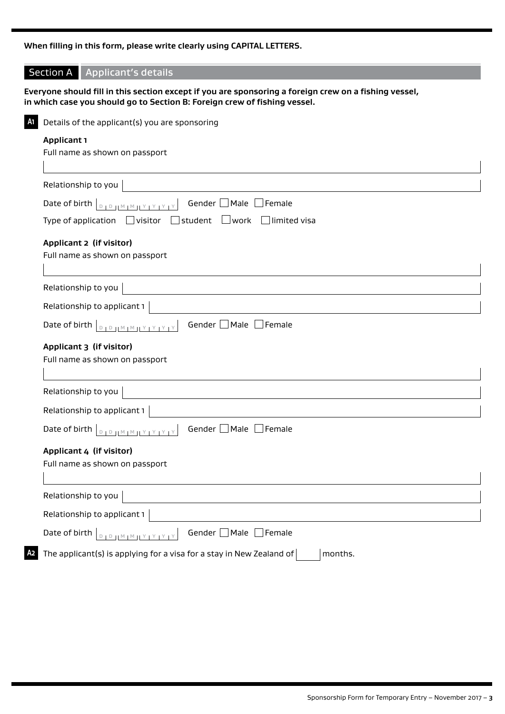# **When filling in this form, please write clearly using CAPITAL LETTERS.**

|                                                                             | <b>Section A</b><br>Applicant's details                                                               |  |  |                                                                                         |
|-----------------------------------------------------------------------------|-------------------------------------------------------------------------------------------------------|--|--|-----------------------------------------------------------------------------------------|
|                                                                             | Everyone should fill in this section except if you are sponsoring a foreign crew on a fishing vessel, |  |  |                                                                                         |
|                                                                             | in which case you should go to Section B: Foreign crew of fishing vessel.                             |  |  |                                                                                         |
| A1                                                                          | Details of the applicant(s) you are sponsoring                                                        |  |  |                                                                                         |
| <b>Applicant 1</b><br>Full name as shown on passport<br>Relationship to you |                                                                                                       |  |  |                                                                                         |
|                                                                             |                                                                                                       |  |  | Gender   Male<br>Female<br>Date of birth<br>$D + D + M + M + M + Y + Y + Y$             |
|                                                                             |                                                                                                       |  |  | $\Box$ student<br>Type of application $\Box$ visitor<br>$\Box$ work $\Box$ limited visa |
|                                                                             | Applicant 2 (if visitor)                                                                              |  |  |                                                                                         |
|                                                                             | Full name as shown on passport                                                                        |  |  |                                                                                         |
|                                                                             |                                                                                                       |  |  |                                                                                         |
|                                                                             | Relationship to you                                                                                   |  |  |                                                                                         |
| Relationship to applicant 1                                                 |                                                                                                       |  |  |                                                                                         |
|                                                                             | Gender Male Female<br>Date of birth<br>$D + D + M + M + Y + Y + Y + Y$                                |  |  |                                                                                         |
| Applicant 3 (if visitor)                                                    |                                                                                                       |  |  |                                                                                         |
| Full name as shown on passport                                              |                                                                                                       |  |  |                                                                                         |
|                                                                             | Relationship to you                                                                                   |  |  |                                                                                         |
|                                                                             | Relationship to applicant 1                                                                           |  |  |                                                                                         |
|                                                                             | Gender $\Box$ Male $\Box$ Female<br>Date of birth <b>DEDIMMIY PRY</b>                                 |  |  |                                                                                         |
|                                                                             | Applicant 4 (if visitor)<br>Full name as shown on passport                                            |  |  |                                                                                         |
|                                                                             |                                                                                                       |  |  |                                                                                         |
|                                                                             |                                                                                                       |  |  |                                                                                         |
|                                                                             | Relationship to you                                                                                   |  |  |                                                                                         |
|                                                                             | Relationship to applicant 1                                                                           |  |  |                                                                                         |
|                                                                             | Gender Male Female<br>Date of birth<br>$10.11^M1^M11^Y1^Y1^Y1^Y$<br>$\Box$                            |  |  |                                                                                         |
| Α2                                                                          | The applicant(s) is applying for a visa for a stay in New Zealand of<br>months.                       |  |  |                                                                                         |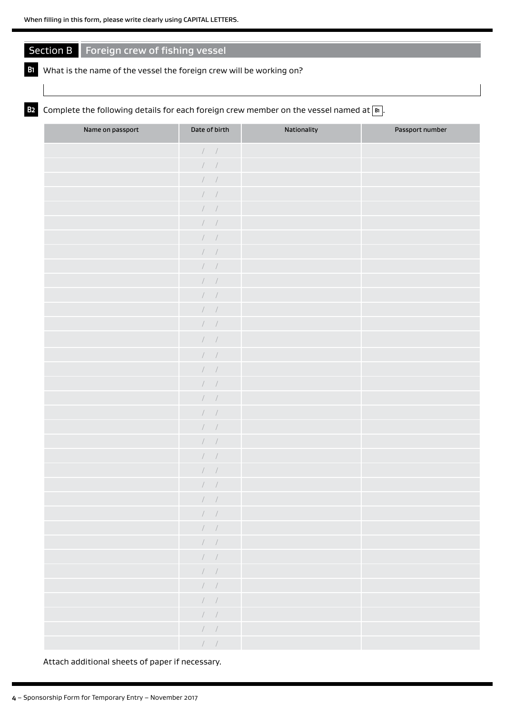# Section B Foreign crew of fishing vessel

### **B1** What is the name of the vessel the foreign crew will be working on?

# **B2** Complete the following details for each foreign crew member on the vessel named at  $\boxed{B}$ .

| Name on passport | Date of birth                                        | Nationality | Passport number |
|------------------|------------------------------------------------------|-------------|-----------------|
|                  | $\cal N$ /                                           |             |                 |
|                  | $\cal N$ /                                           |             |                 |
|                  | $\cal I$ /                                           |             |                 |
|                  | $\cal I$ /                                           |             |                 |
|                  | $\hspace{0.1cm} / \hspace{0.1cm}$                    |             |                 |
|                  | $\cal I$ /                                           |             |                 |
|                  | $\begin{array}{ccc} \end{array}$                     |             |                 |
|                  | $\left  \begin{array}{cc} & \end{array} \right $     |             |                 |
|                  | $\cal I$ /                                           |             |                 |
|                  | $\hspace{0.1cm} / \hspace{0.1cm}$                    |             |                 |
|                  | $\hspace{0.1cm} / \hspace{0.1cm}$                    |             |                 |
|                  | $\cal I$ /                                           |             |                 |
|                  | $\hspace{0.1cm} / \hspace{0.1cm}$ $\hspace{0.1cm} /$ |             |                 |
|                  | $\cal N$ /                                           |             |                 |
|                  | $\hspace{0.1cm} / \hspace{0.1cm}$                    |             |                 |
|                  | 1                                                    |             |                 |
|                  | $\left  \begin{array}{cc} & \end{array} \right $     |             |                 |
|                  | $\cal I$ /                                           |             |                 |
|                  | $\cal N$ /                                           |             |                 |
|                  | $\hspace{0.1cm} / \hspace{0.1cm}$                    |             |                 |
|                  | $\hspace{0.1cm} / \hspace{0.1cm}$                    |             |                 |
|                  | $\left  \quad \right $                               |             |                 |
|                  | $\cal N$ /                                           |             |                 |
|                  | $\cal I$ /<br>$\overline{ }$                         |             |                 |
|                  | $\sqrt{2}$                                           |             |                 |
|                  | $\qquad \qquad \Box$<br>$\qquad \qquad \Box$         |             |                 |
|                  | $\mathcal{N}=\mathcal{N}$                            |             |                 |
|                  | $\mathcal{N}=\mathcal{N}$                            |             |                 |
|                  | $\qquad \qquad \Box$                                 |             |                 |
|                  | $\sqrt{2}$                                           |             |                 |
|                  | $\qquad \qquad \Box$                                 |             |                 |
|                  | $\qquad \qquad \Box$                                 |             |                 |
|                  | $\mathcal{N}=\mathcal{N}$                            |             |                 |
|                  | $\int_{\mathbb{R}^n}$                                |             |                 |

Attach additional sheets of paper if necessary.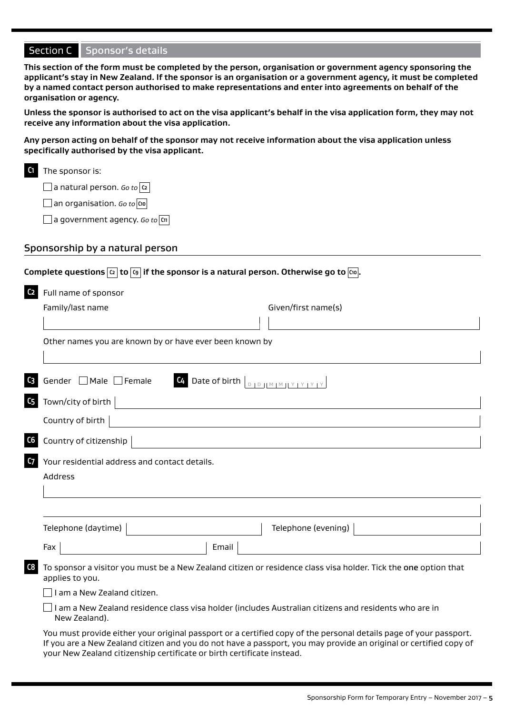**This section of the form must be completed by the person, organisation or government agency sponsoring the applicant's stay in New Zealand. If the sponsor is an organisation or a government agency, it must be completed by a named contact person authorised to make representations and enter into agreements on behalf of the organisation or agency.** 

**Unless the sponsor is authorised to act on the visa applicant's behalf in the visa application form, they may not receive any information about the visa application.** 

**Any person acting on behalf of the sponsor may not receive information about the visa application unless specifically authorised by the visa applicant.**

| C1 | The sponsor is: |
|----|-----------------|
|    |                 |

a natural person. *Go to* **C2**

an organisation. *Go to* **C10**

a government agency. *Go to* **C11**

### Sponsorship by a natural person

|                                                                                                                                                                                                                                                                                                        | Complete questions $ \alpha $ to $ \mathfrak{c}_{\theta} $ if the sponsor is a natural person. Otherwise go to $ \mathfrak{c}_{\theta} .$ |  |  |                                                                                                                                                                                                                                                                                                                  |
|--------------------------------------------------------------------------------------------------------------------------------------------------------------------------------------------------------------------------------------------------------------------------------------------------------|-------------------------------------------------------------------------------------------------------------------------------------------|--|--|------------------------------------------------------------------------------------------------------------------------------------------------------------------------------------------------------------------------------------------------------------------------------------------------------------------|
| C <sub>2</sub><br>Full name of sponsor                                                                                                                                                                                                                                                                 |                                                                                                                                           |  |  |                                                                                                                                                                                                                                                                                                                  |
| Family/last name                                                                                                                                                                                                                                                                                       | Given/first name(s)                                                                                                                       |  |  |                                                                                                                                                                                                                                                                                                                  |
|                                                                                                                                                                                                                                                                                                        |                                                                                                                                           |  |  |                                                                                                                                                                                                                                                                                                                  |
| Other names you are known by or have ever been known by                                                                                                                                                                                                                                                |                                                                                                                                           |  |  |                                                                                                                                                                                                                                                                                                                  |
|                                                                                                                                                                                                                                                                                                        |                                                                                                                                           |  |  |                                                                                                                                                                                                                                                                                                                  |
| Gender   Male   Female                                                                                                                                                                                                                                                                                 | C <sub>4</sub>                                                                                                                            |  |  |                                                                                                                                                                                                                                                                                                                  |
| c <sub>5</sub><br>Town/city of birth                                                                                                                                                                                                                                                                   |                                                                                                                                           |  |  |                                                                                                                                                                                                                                                                                                                  |
| Country of birth                                                                                                                                                                                                                                                                                       |                                                                                                                                           |  |  |                                                                                                                                                                                                                                                                                                                  |
| C6<br>Country of citizenship                                                                                                                                                                                                                                                                           |                                                                                                                                           |  |  |                                                                                                                                                                                                                                                                                                                  |
| c <sub>7</sub><br>Your residential address and contact details.                                                                                                                                                                                                                                        |                                                                                                                                           |  |  |                                                                                                                                                                                                                                                                                                                  |
| Address                                                                                                                                                                                                                                                                                                |                                                                                                                                           |  |  |                                                                                                                                                                                                                                                                                                                  |
|                                                                                                                                                                                                                                                                                                        |                                                                                                                                           |  |  |                                                                                                                                                                                                                                                                                                                  |
|                                                                                                                                                                                                                                                                                                        |                                                                                                                                           |  |  |                                                                                                                                                                                                                                                                                                                  |
| Telephone (daytime)                                                                                                                                                                                                                                                                                    | Telephone (evening)                                                                                                                       |  |  |                                                                                                                                                                                                                                                                                                                  |
| Fax                                                                                                                                                                                                                                                                                                    | Email                                                                                                                                     |  |  |                                                                                                                                                                                                                                                                                                                  |
| $c_{8}$<br>To sponsor a visitor you must be a New Zealand citizen or residence class visa holder. Tick the one option that<br>applies to you.<br>I am a New Zealand citizen.<br>I am a New Zealand residence class visa holder (includes Australian citizens and residents who are in<br>New Zealand). |                                                                                                                                           |  |  |                                                                                                                                                                                                                                                                                                                  |
|                                                                                                                                                                                                                                                                                                        |                                                                                                                                           |  |  | You must provide either your original passport or a certified copy of the personal details page of your passport.<br>If you are a New Zealand citizen and you do not have a passport, you may provide an original or certified copy of<br>your New Zealand citizenship certificate or birth certificate instead. |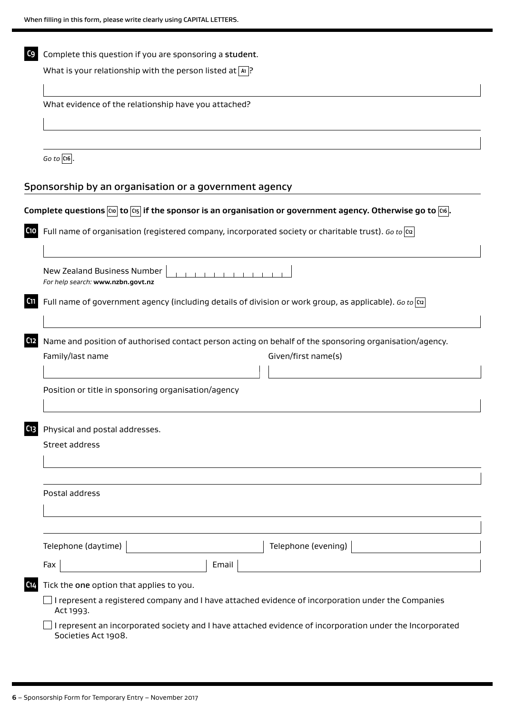| C <sub>9</sub>                                                                                                              | Complete this question if you are sponsoring a student.                                                                                                           |  |  |  |  |
|-----------------------------------------------------------------------------------------------------------------------------|-------------------------------------------------------------------------------------------------------------------------------------------------------------------|--|--|--|--|
|                                                                                                                             | What is your relationship with the person listed at $ x $ ?                                                                                                       |  |  |  |  |
|                                                                                                                             |                                                                                                                                                                   |  |  |  |  |
| What evidence of the relationship have you attached?                                                                        |                                                                                                                                                                   |  |  |  |  |
|                                                                                                                             |                                                                                                                                                                   |  |  |  |  |
|                                                                                                                             | $Go$ to $ C16 $ .                                                                                                                                                 |  |  |  |  |
|                                                                                                                             | Sponsorship by an organisation or a government agency                                                                                                             |  |  |  |  |
|                                                                                                                             | Complete questions $\overline{[\omega]}$ to $\overline{[\alpha]}$ if the sponsor is an organisation or government agency. Otherwise go to $\overline{[\omega]}$ . |  |  |  |  |
| C10                                                                                                                         | Full name of organisation (registered company, incorporated society or charitable trust). Go to $\alpha$                                                          |  |  |  |  |
|                                                                                                                             | New Zealand Business Number<br>For help search: www.nzbn.govt.nz                                                                                                  |  |  |  |  |
| C <sub>11</sub><br>Full name of government agency (including details of division or work group, as applicable). Go to $ x $ |                                                                                                                                                                   |  |  |  |  |
| C12                                                                                                                         | Name and position of authorised contact person acting on behalf of the sponsoring organisation/agency.                                                            |  |  |  |  |
|                                                                                                                             | Family/last name<br>Given/first name(s)                                                                                                                           |  |  |  |  |
|                                                                                                                             | Position or title in sponsoring organisation/agency                                                                                                               |  |  |  |  |
| C13                                                                                                                         | Physical and postal addresses.                                                                                                                                    |  |  |  |  |
|                                                                                                                             | Street address                                                                                                                                                    |  |  |  |  |
|                                                                                                                             |                                                                                                                                                                   |  |  |  |  |
|                                                                                                                             | Postal address                                                                                                                                                    |  |  |  |  |
|                                                                                                                             |                                                                                                                                                                   |  |  |  |  |
|                                                                                                                             | Telephone (daytime)<br>Telephone (evening)                                                                                                                        |  |  |  |  |
|                                                                                                                             | Email<br>Fax                                                                                                                                                      |  |  |  |  |
| C <sub>14</sub>                                                                                                             | Tick the one option that applies to you.                                                                                                                          |  |  |  |  |
|                                                                                                                             | I represent a registered company and I have attached evidence of incorporation under the Companies<br>Act 1993.                                                   |  |  |  |  |
|                                                                                                                             | I represent an incorporated society and I have attached evidence of incorporation under the Incorporated<br>Societies Act 1908.                                   |  |  |  |  |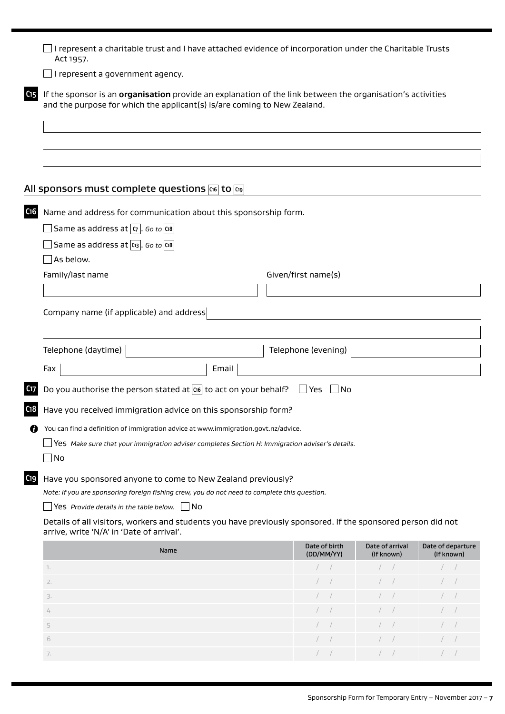| I represent a charitable trust and I have attached evidence of incorporation under the Charitable Trusts<br>Act 1957.                                     |                                                                                                                                                                                        |                             |                               |                                 |  |
|-----------------------------------------------------------------------------------------------------------------------------------------------------------|----------------------------------------------------------------------------------------------------------------------------------------------------------------------------------------|-----------------------------|-------------------------------|---------------------------------|--|
| I represent a government agency.                                                                                                                          |                                                                                                                                                                                        |                             |                               |                                 |  |
| C <sub>15</sub>                                                                                                                                           | If the sponsor is an organisation provide an explanation of the link between the organisation's activities<br>and the purpose for which the applicant(s) is/are coming to New Zealand. |                             |                               |                                 |  |
|                                                                                                                                                           |                                                                                                                                                                                        |                             |                               |                                 |  |
| All sponsors must complete questions G6 to G9                                                                                                             |                                                                                                                                                                                        |                             |                               |                                 |  |
| C <sub>16</sub><br>Name and address for communication about this sponsorship form.                                                                        |                                                                                                                                                                                        |                             |                               |                                 |  |
| Same as address at $\sigma$ . Go to $\alpha$                                                                                                              |                                                                                                                                                                                        |                             |                               |                                 |  |
| Same as address at $\alpha_3$ . Go to $\alpha_8$                                                                                                          |                                                                                                                                                                                        |                             |                               |                                 |  |
| As below.                                                                                                                                                 |                                                                                                                                                                                        |                             |                               |                                 |  |
| Family/last name                                                                                                                                          |                                                                                                                                                                                        | Given/first name(s)         |                               |                                 |  |
|                                                                                                                                                           |                                                                                                                                                                                        |                             |                               |                                 |  |
| Company name (if applicable) and address<br>Telephone (daytime)                                                                                           |                                                                                                                                                                                        | Telephone (evening)         |                               |                                 |  |
| Fax                                                                                                                                                       | Email                                                                                                                                                                                  |                             |                               |                                 |  |
| Do you authorise the person stated at $\overline{cos}$ to act on your behalf?<br>C <sub>17</sub>                                                          |                                                                                                                                                                                        | No Nes No                   |                               |                                 |  |
| C <sub>18</sub><br>Have you received immigration advice on this sponsorship form?                                                                         |                                                                                                                                                                                        |                             |                               |                                 |  |
| You can find a definition of immigration advice at www.immigration.govt.nz/advice.<br>Ø                                                                   |                                                                                                                                                                                        |                             |                               |                                 |  |
| Yes Make sure that your immigration adviser completes Section H: Immigration adviser's details.                                                           |                                                                                                                                                                                        |                             |                               |                                 |  |
| No                                                                                                                                                        |                                                                                                                                                                                        |                             |                               |                                 |  |
| C <sub>19</sub><br>Have you sponsored anyone to come to New Zealand previously?                                                                           |                                                                                                                                                                                        |                             |                               |                                 |  |
| Note: If you are sponsoring foreign fishing crew, you do not need to complete this question.                                                              |                                                                                                                                                                                        |                             |                               |                                 |  |
| Yes Provide details in the table below.<br>1No                                                                                                            |                                                                                                                                                                                        |                             |                               |                                 |  |
| Details of all visitors, workers and students you have previously sponsored. If the sponsored person did not<br>arrive, write 'N/A' in 'Date of arrival'. |                                                                                                                                                                                        |                             |                               |                                 |  |
| Name                                                                                                                                                      |                                                                                                                                                                                        | Date of birth<br>(DD/MM/YY) | Date of arrival<br>(If known) | Date of departure<br>(If known) |  |
| 1.                                                                                                                                                        |                                                                                                                                                                                        |                             |                               |                                 |  |
| 2.                                                                                                                                                        |                                                                                                                                                                                        |                             |                               |                                 |  |
| 3.                                                                                                                                                        |                                                                                                                                                                                        |                             |                               |                                 |  |

 / / / / / /  $\sqrt{7}$  /  $\sqrt{7}$  /  $\sqrt{7}$  /  $\sqrt{7}$  /  $\sqrt{7}$  /  $\sqrt{7}$  /  $\sqrt{7}$  /  $\sqrt{7}$  /  $\sqrt{7}$  /  $\sqrt{7}$  /  $\sqrt{7}$  /  $\sqrt{7}$  /  $\sqrt{7}$  /  $\sqrt{7}$  /  $\sqrt{7}$  /  $\sqrt{7}$  /  $\sqrt{7}$  /  $\sqrt{7}$  /  $\sqrt{7}$  /  $\sqrt{7}$  /  $\sqrt{7}$  /  $\sqrt{7}$  /  $\hspace{1cm} 1 \hspace{1cm} 1 \hspace{1cm} 1 \hspace{1cm} 1 \hspace{1cm} 1 \hspace{1cm} 1 \hspace{1cm} 1 \hspace{1cm} 1 \hspace{1cm} 1 \hspace{1cm} 1 \hspace{1cm} 1 \hspace{1cm} 1 \hspace{1cm} 1 \hspace{1cm} 1 \hspace{1cm} 1 \hspace{1cm} 1 \hspace{1cm} 1 \hspace{1cm} 1 \hspace{1cm} 1 \hspace{1cm} 1 \hspace{1cm} 1 \hspace{1cm} 1 \hspace{1cm} 1 \hspace{1cm} 1 \hs$ 7. / / / / / /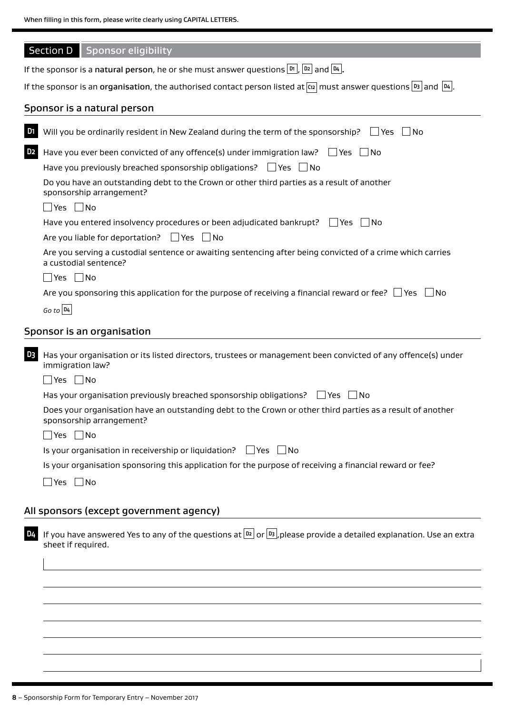| When filling in this form, please write clearly using CAPITAL LETTERS. |  |
|------------------------------------------------------------------------|--|
|------------------------------------------------------------------------|--|

|                                                                                                                       | <b>Section D</b><br>Sponsor eligibility                                                                                                           |  |  |  |
|-----------------------------------------------------------------------------------------------------------------------|---------------------------------------------------------------------------------------------------------------------------------------------------|--|--|--|
|                                                                                                                       | If the sponsor is a natural person, he or she must answer questions $\lfloor m \rfloor$ , $\lfloor m \rfloor$ and $\lfloor n_4 \rfloor$ .         |  |  |  |
|                                                                                                                       | If the sponsor is an organisation, the authorised contact person listed at $\alpha$ must answer questions $ B_3 $ and $ B_4 $ .                   |  |  |  |
|                                                                                                                       | Sponsor is a natural person                                                                                                                       |  |  |  |
| D <sub>1</sub>                                                                                                        | Will you be ordinarily resident in New Zealand during the term of the sponsorship?<br>l lYes<br>- I No                                            |  |  |  |
| D <sub>2</sub>                                                                                                        | Have you ever been convicted of any offence(s) under immigration law? $\Box$ Yes $\Box$ No                                                        |  |  |  |
|                                                                                                                       | Have you previously breached sponsorship obligations? $\Box$ Yes $\Box$ No                                                                        |  |  |  |
|                                                                                                                       | Do you have an outstanding debt to the Crown or other third parties as a result of another<br>sponsorship arrangement?                            |  |  |  |
|                                                                                                                       | $\Box$ Yes $\Box$ No                                                                                                                              |  |  |  |
|                                                                                                                       | Have you entered insolvency procedures or been adjudicated bankrupt? $\Box$ Yes $\Box$ No<br>Are you liable for deportation? $\Box$ Yes $\Box$ No |  |  |  |
|                                                                                                                       | Are you serving a custodial sentence or awaiting sentencing after being convicted of a crime which carries<br>a custodial sentence?               |  |  |  |
| $\Box$ Yes $\Box$ No                                                                                                  |                                                                                                                                                   |  |  |  |
| Are you sponsoring this application for the purpose of receiving a financial reward or fee? $\Box$ Yes $\Box$<br>- No |                                                                                                                                                   |  |  |  |
|                                                                                                                       | $Go$ to $D4$                                                                                                                                      |  |  |  |
|                                                                                                                       | Sponsor is an organisation                                                                                                                        |  |  |  |
|                                                                                                                       |                                                                                                                                                   |  |  |  |
| D <sub>3</sub>                                                                                                        | Has your organisation or its listed directors, trustees or management been convicted of any offence(s) under<br>immigration law?                  |  |  |  |
|                                                                                                                       | $\Box$ Yes $\Box$ No                                                                                                                              |  |  |  |
|                                                                                                                       | Has your organisation previously breached sponsorship obligations?<br>l Yes<br>- I No                                                             |  |  |  |
|                                                                                                                       | Does your organisation have an outstanding debt to the Crown or other third parties as a result of another<br>sponsorship arrangement?            |  |  |  |
|                                                                                                                       | $\Box$ Yes $\Box$ No                                                                                                                              |  |  |  |
|                                                                                                                       | Is your organisation in receivership or liquidation?<br>l lYes<br>  No                                                                            |  |  |  |
|                                                                                                                       | Is your organisation sponsoring this application for the purpose of receiving a financial reward or fee?                                          |  |  |  |
|                                                                                                                       | $\Box$ Yes $\Box$ No                                                                                                                              |  |  |  |
|                                                                                                                       | All sponsors (except government agency)                                                                                                           |  |  |  |
| D4                                                                                                                    | If you have answered Yes to any of the questions at $ D2 $ or $ D3 $ , please provide a detailed explanation. Use an extra<br>sheet if required.  |  |  |  |
|                                                                                                                       |                                                                                                                                                   |  |  |  |
|                                                                                                                       |                                                                                                                                                   |  |  |  |
|                                                                                                                       |                                                                                                                                                   |  |  |  |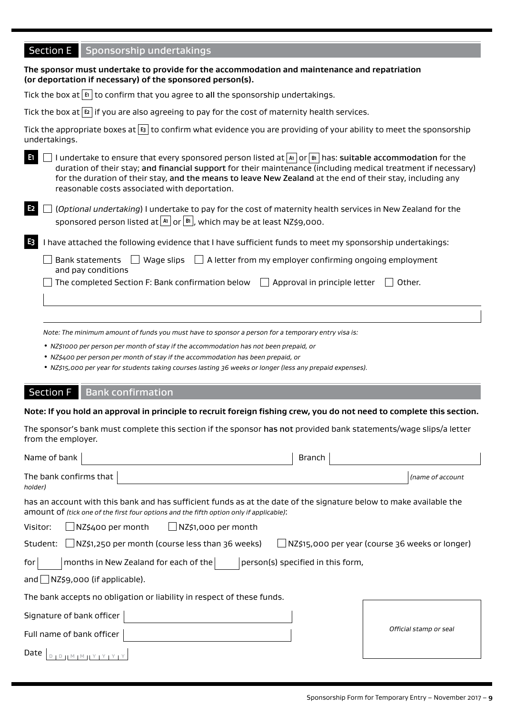# Section E Sponsorship undertakings

| The sponsor must undertake to provide for the accommodation and maintenance and repatriation<br>(or deportation if necessary) of the sponsored person(s).                                                                                                                                                                                                                                              |  |  |  |
|--------------------------------------------------------------------------------------------------------------------------------------------------------------------------------------------------------------------------------------------------------------------------------------------------------------------------------------------------------------------------------------------------------|--|--|--|
| Tick the box at $ \mathfrak{s} $ to confirm that you agree to all the sponsorship undertakings.                                                                                                                                                                                                                                                                                                        |  |  |  |
| Tick the box at $ \mathbf{E} $ if you are also agreeing to pay for the cost of maternity health services.                                                                                                                                                                                                                                                                                              |  |  |  |
| Tick the appropriate boxes at $ s $ to confirm what evidence you are providing of your ability to meet the sponsorship<br>undertakings.                                                                                                                                                                                                                                                                |  |  |  |
| I undertake to ensure that every sponsored person listed at $ x $ or $ x $ las: suitable accommodation for the<br>-61<br>duration of their stay; and financial support for their maintenance (including medical treatment if necessary)<br>for the duration of their stay, and the means to leave New Zealand at the end of their stay, including any<br>reasonable costs associated with deportation. |  |  |  |
| E <sub>2</sub><br>(Optional undertaking) I undertake to pay for the cost of maternity health services in New Zealand for the<br>sponsored person listed at $\boxed{\text{Al}}$ or $\boxed{\text{Bl}}$ , which may be at least NZ\$9,000.                                                                                                                                                               |  |  |  |
| E <sub>3</sub><br>have attached the following evidence that I have sufficient funds to meet my sponsorship undertakings:                                                                                                                                                                                                                                                                               |  |  |  |
| Wage slips $\Box$ A letter from my employer confirming ongoing employment<br><b>Bank statements</b><br>and pay conditions                                                                                                                                                                                                                                                                              |  |  |  |
| The completed Section F: Bank confirmation below $\Box$<br>Approval in principle letter<br>Other.                                                                                                                                                                                                                                                                                                      |  |  |  |
|                                                                                                                                                                                                                                                                                                                                                                                                        |  |  |  |

*Note: The minimum amount of funds you must have to sponsor a person for a temporary entry visa is:*

• *NZ\$1000 per person per month of stay if the accommodation has not been prepaid, or*

• *NZ\$400 per person per month of stay if the accommodation has been prepaid, or*

• *NZ\$15,000 per year for students taking courses lasting 36 weeks or longer (less any prepaid expenses).*

### Section F Bank confirmation

#### **Note: If you hold an approval in principle to recruit foreign fishing crew, you do not need to complete this section.**

The sponsor's bank must complete this section if the sponsor has not provided bank statements/wage slips/a letter from the employer.

| Name of bank                                                                                                                                                                                                  | <b>Branch</b>                                   |  |  |  |
|---------------------------------------------------------------------------------------------------------------------------------------------------------------------------------------------------------------|-------------------------------------------------|--|--|--|
| The bank confirms that<br>holder)                                                                                                                                                                             | (name of account                                |  |  |  |
| has an account with this bank and has sufficient funds as at the date of the signature below to make available the<br>amount of (tick one of the first four options and the fifth option only if applicable): |                                                 |  |  |  |
| NZ\$400 per month<br>∐NZ\$1,000 per month<br>Visitor:                                                                                                                                                         |                                                 |  |  |  |
| $\Box$ NZ\$1,250 per month (course less than 36 weeks)<br>Student:                                                                                                                                            | NZ\$15,000 per year (course 36 weeks or longer) |  |  |  |
| months in New Zealand for each of the<br>person(s) specified in this form,<br>for                                                                                                                             |                                                 |  |  |  |
| and $\Box$ NZ\$9,000 (if applicable).                                                                                                                                                                         |                                                 |  |  |  |
| The bank accepts no obligation or liability in respect of these funds.                                                                                                                                        |                                                 |  |  |  |
| Signature of bank officer                                                                                                                                                                                     |                                                 |  |  |  |
| Official stamp or seal<br>Full name of bank officer                                                                                                                                                           |                                                 |  |  |  |
| Date                                                                                                                                                                                                          |                                                 |  |  |  |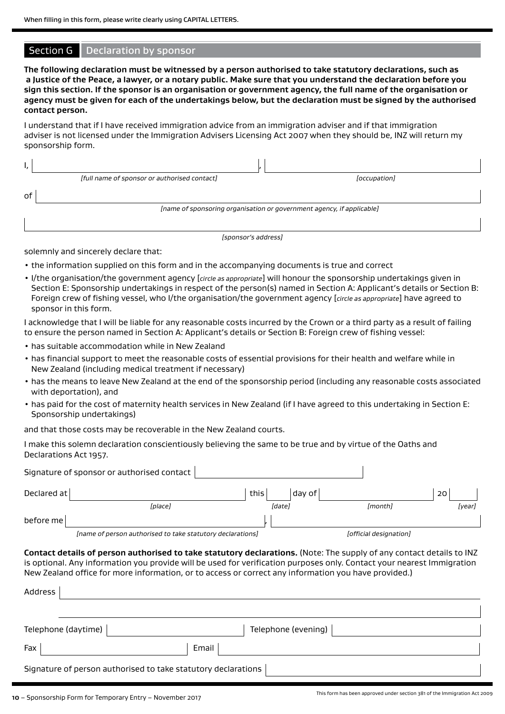#### Section G | Declaration by sponsor

**The following declaration must be witnessed by a person authorised to take statutory declarations, such as a Justice of the Peace, a lawyer, or a notary public. Make sure that you understand the declaration before you sign this section. If the sponsor is an organisation or government agency, the full name of the organisation or agency must be given for each of the undertakings below, but the declaration must be signed by the authorised contact person.**

I understand that if I have received immigration advice from an immigration adviser and if that immigration adviser is not licensed under the Immigration Advisers Licensing Act 2007 when they should be, INZ will return my sponsorship form.

|    | [full name of sponsor or authorised contact]                          | [occupation] |  |
|----|-----------------------------------------------------------------------|--------------|--|
| оf |                                                                       |              |  |
|    | [name of sponsoring organisation or government agency, if applicable] |              |  |
|    |                                                                       |              |  |

*[sponsor's address]*

solemnly and sincerely declare that:

- the information supplied on this form and in the accompanying documents is true and correct
- I/the organisation/the government agency [*circle as appropriate*] will honour the sponsorship undertakings given in Section E: Sponsorship undertakings in respect of the person(s) named in Section A: Applicant's details or Section B: Foreign crew of fishing vessel, who I/the organisation/the government agency [*circle as appropriate*] have agreed to sponsor in this form.

I acknowledge that I will be liable for any reasonable costs incurred by the Crown or a third party as a result of failing to ensure the person named in Section A: Applicant's details or Section B: Foreign crew of fishing vessel:

- has suitable accommodation while in New Zealand
- has financial support to meet the reasonable costs of essential provisions for their health and welfare while in New Zealand (including medical treatment if necessary)
- has the means to leave New Zealand at the end of the sponsorship period (including any reasonable costs associated with deportation), and
- has paid for the cost of maternity health services in New Zealand (if I have agreed to this undertaking in Section E: Sponsorship undertakings)

and that those costs may be recoverable in the New Zealand courts.

I make this solemn declaration conscientiously believing the same to be true and by virtue of the Oaths and Declarations Act 1957.

|             | Signature of sponsor or authorised contact                                                                                                                                                                                                                                                                                                             |      |        |                        |        |
|-------------|--------------------------------------------------------------------------------------------------------------------------------------------------------------------------------------------------------------------------------------------------------------------------------------------------------------------------------------------------------|------|--------|------------------------|--------|
| Declared at |                                                                                                                                                                                                                                                                                                                                                        | this | day of |                        | 20     |
|             | <i>[place]</i>                                                                                                                                                                                                                                                                                                                                         |      | [date] | <i>[month]</i>         | [year] |
| before me   |                                                                                                                                                                                                                                                                                                                                                        |      |        |                        |        |
|             | [name of person authorised to take statutory declarations]                                                                                                                                                                                                                                                                                             |      |        | [official designation] |        |
| Address     | Contact details of person authorised to take statutory declarations. (Note: The supply of any contact details to INZ<br>is optional. Any information you provide will be used for verification purposes only. Contact your nearest Immigration<br>New Zealand office for more information, or to access or correct any information you have provided.) |      |        |                        |        |

| Telephone (daytime)                                           | Telephone (evening) |  |  |  |
|---------------------------------------------------------------|---------------------|--|--|--|
| Fax                                                           | Email               |  |  |  |
| Signature of person authorised to take statutory declarations |                     |  |  |  |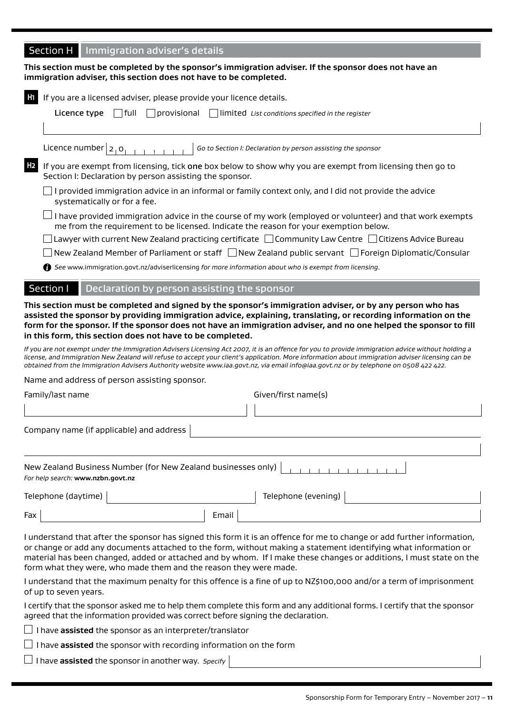# **Section H** Immigration adviser's details

**This section must be completed by the sponsor's immigration adviser. If the sponsor does not have an immigration adviser, this section does not have to be completed.**

|                                                                                                                                                                                                                                                                                                                                                                                                                                       | If you are a licensed adviser, please provide your licence details.                                                                                                                                                                                                                                                                                                                                                                                                                                                                                                                                                              |  |  |  |  |  |  |
|---------------------------------------------------------------------------------------------------------------------------------------------------------------------------------------------------------------------------------------------------------------------------------------------------------------------------------------------------------------------------------------------------------------------------------------|----------------------------------------------------------------------------------------------------------------------------------------------------------------------------------------------------------------------------------------------------------------------------------------------------------------------------------------------------------------------------------------------------------------------------------------------------------------------------------------------------------------------------------------------------------------------------------------------------------------------------------|--|--|--|--|--|--|
|                                                                                                                                                                                                                                                                                                                                                                                                                                       | $\Box$ full<br>$\Box$ provisional<br>Licence type<br>$\Box$ limited List conditions specified in the register                                                                                                                                                                                                                                                                                                                                                                                                                                                                                                                    |  |  |  |  |  |  |
|                                                                                                                                                                                                                                                                                                                                                                                                                                       | Licence number $ 2,0$<br>Go to Section I: Declaration by person assisting the sponsor                                                                                                                                                                                                                                                                                                                                                                                                                                                                                                                                            |  |  |  |  |  |  |
| H <sub>2</sub>                                                                                                                                                                                                                                                                                                                                                                                                                        | If you are exempt from licensing, tick one box below to show why you are exempt from licensing then go to<br>Section I: Declaration by person assisting the sponsor.                                                                                                                                                                                                                                                                                                                                                                                                                                                             |  |  |  |  |  |  |
|                                                                                                                                                                                                                                                                                                                                                                                                                                       | I provided immigration advice in an informal or family context only, and I did not provide the advice<br>systematically or for a fee.                                                                                                                                                                                                                                                                                                                                                                                                                                                                                            |  |  |  |  |  |  |
|                                                                                                                                                                                                                                                                                                                                                                                                                                       | I have provided immigration advice in the course of my work (employed or volunteer) and that work exempts<br>me from the requirement to be licensed. Indicate the reason for your exemption below.                                                                                                                                                                                                                                                                                                                                                                                                                               |  |  |  |  |  |  |
|                                                                                                                                                                                                                                                                                                                                                                                                                                       | Lawyer with current New Zealand practicing certificate □ Community Law Centre □ Citizens Advice Bureau                                                                                                                                                                                                                                                                                                                                                                                                                                                                                                                           |  |  |  |  |  |  |
|                                                                                                                                                                                                                                                                                                                                                                                                                                       | New Zealand Member of Parliament or staff □ New Zealand public servant □ Foreign Diplomatic/Consular                                                                                                                                                                                                                                                                                                                                                                                                                                                                                                                             |  |  |  |  |  |  |
|                                                                                                                                                                                                                                                                                                                                                                                                                                       | <b>6</b> See www.immigration.govt.nz/adviserlicensing for more information about who is exempt from licensing.                                                                                                                                                                                                                                                                                                                                                                                                                                                                                                                   |  |  |  |  |  |  |
|                                                                                                                                                                                                                                                                                                                                                                                                                                       | <b>Section I</b><br>Declaration by person assisting the sponsor                                                                                                                                                                                                                                                                                                                                                                                                                                                                                                                                                                  |  |  |  |  |  |  |
|                                                                                                                                                                                                                                                                                                                                                                                                                                       | form for the sponsor. If the sponsor does not have an immigration adviser, and no one helped the sponsor to fill<br>in this form, this section does not have to be completed.<br>If you are not exempt under the Immigration Advisers Licensing Act 2007, it is an offence for you to provide immigration advice without holding a<br>license, and Immigration New Zealand will refuse to accept your client's application. More information about immigration adviser licensing can be<br>obtained from the Immigration Advisers Authority website www.iaa.govt.nz, via email info@iaa.govt.nz or by telephone on 0508 422 422. |  |  |  |  |  |  |
|                                                                                                                                                                                                                                                                                                                                                                                                                                       | Name and address of person assisting sponsor.                                                                                                                                                                                                                                                                                                                                                                                                                                                                                                                                                                                    |  |  |  |  |  |  |
|                                                                                                                                                                                                                                                                                                                                                                                                                                       | Family/last name<br>Given/first name(s)                                                                                                                                                                                                                                                                                                                                                                                                                                                                                                                                                                                          |  |  |  |  |  |  |
|                                                                                                                                                                                                                                                                                                                                                                                                                                       |                                                                                                                                                                                                                                                                                                                                                                                                                                                                                                                                                                                                                                  |  |  |  |  |  |  |
| Company name (if applicable) and address                                                                                                                                                                                                                                                                                                                                                                                              |                                                                                                                                                                                                                                                                                                                                                                                                                                                                                                                                                                                                                                  |  |  |  |  |  |  |
|                                                                                                                                                                                                                                                                                                                                                                                                                                       |                                                                                                                                                                                                                                                                                                                                                                                                                                                                                                                                                                                                                                  |  |  |  |  |  |  |
| New Zealand Business Number (for New Zealand businesses only)<br>For help search: www.nzbn.govt.nz                                                                                                                                                                                                                                                                                                                                    |                                                                                                                                                                                                                                                                                                                                                                                                                                                                                                                                                                                                                                  |  |  |  |  |  |  |
|                                                                                                                                                                                                                                                                                                                                                                                                                                       | Telephone (evening)<br>Telephone (daytime)                                                                                                                                                                                                                                                                                                                                                                                                                                                                                                                                                                                       |  |  |  |  |  |  |
| Fax                                                                                                                                                                                                                                                                                                                                                                                                                                   | Email                                                                                                                                                                                                                                                                                                                                                                                                                                                                                                                                                                                                                            |  |  |  |  |  |  |
| I understand that after the sponsor has signed this form it is an offence for me to change or add further information,<br>or change or add any documents attached to the form, without making a statement identifying what information or<br>material has been changed, added or attached and by whom. If I make these changes or additions, I must state on the<br>form what they were, who made them and the reason they were made. |                                                                                                                                                                                                                                                                                                                                                                                                                                                                                                                                                                                                                                  |  |  |  |  |  |  |

I understand that the maximum penalty for this offence is a fine of up to NZ\$100,000 and/or a term of imprisonment of up to seven years.

I certify that the sponsor asked me to help them complete this form and any additional forms. I certify that the sponsor agreed that the information provided was correct before signing the declaration.

I have **assisted** the sponsor as an interpreter/translator

I have **assisted** the sponsor with recording information on the form

I have **assisted** the sponsor in another way. *Specify*